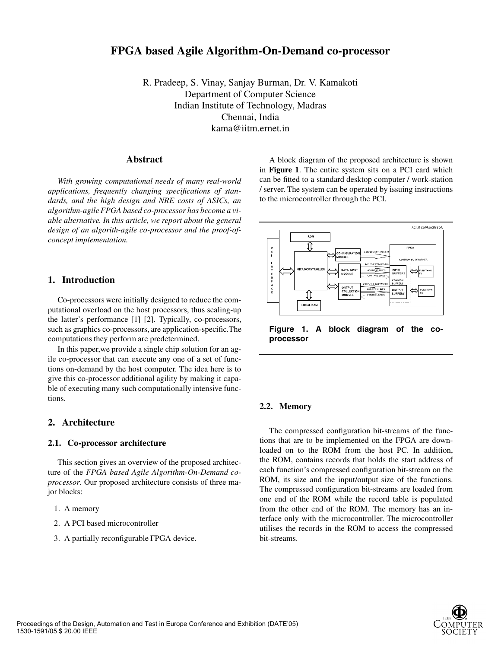# **FPGA based Agile Algorithm-On-Demand co-processor**

R. Pradeep, S. Vinay, Sanjay Burman, Dr. V. Kamakoti Department of Computer Science Indian Institute of Technology, Madras Chennai, India kama@iitm.ernet.in

# **Abstract**

*With growing computational needs of many real-world applications, frequently changing specifications of standards, and the high design and NRE costs of ASICs, an algorithm-agile FPGA based co-processor has become a viable alternative. In this article, we report about the general design of an algorith-agile co-processor and the proof-ofconcept implementation.*

# **1. Introduction**

Co-processors were initially designed to reduce the computational overload on the host processors, thus scaling-up the latter's performance [1] [2]. Typically, co-processors, such as graphics co-processors, are application-specific.The computations they perform are predetermined.

In this paper,we provide a single chip solution for an agile co-processor that can execute any one of a set of functions on-demand by the host computer. The idea here is to give this co-processor additional agility by making it capable of executing many such computationally intensive functions.

# **2. Architecture**

#### **2.1. Co-processor architecture**

This section gives an overview of the proposed architecture of the *FPGA based Agile Algorithm-On-Demand coprocessor*. Our proposed architecture consists of three major blocks:

- 1. A memory
- 2. A PCI based microcontroller
- 3. A partially reconfigurable FPGA device.

A block diagram of the proposed architecture is shown in **Figure 1**. The entire system sits on a PCI card which can be fitted to a standard desktop computer / work-station / server. The system can be operated by issuing instructions to the microcontroller through the PCI.



**Figure 1. A block diagram of the coprocessor**

#### **2.2. Memory**

The compressed configuration bit-streams of the functions that are to be implemented on the FPGA are downloaded on to the ROM from the host PC. In addition, the ROM, contains records that holds the start address of each function's compressed configuration bit-stream on the ROM, its size and the input/output size of the functions. The compressed configuration bit-streams are loaded from one end of the ROM while the record table is populated from the other end of the ROM. The memory has an interface only with the microcontroller. The microcontroller utilises the records in the ROM to access the compressed bit-streams.